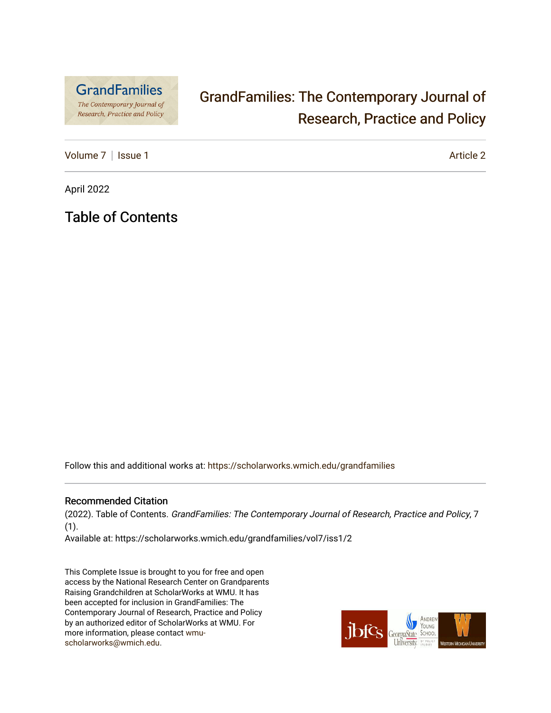

## [GrandFamilies: The Contemporary Journal of](https://scholarworks.wmich.edu/grandfamilies)  [Research, Practice and Policy](https://scholarworks.wmich.edu/grandfamilies)

[Volume 7](https://scholarworks.wmich.edu/grandfamilies/vol7) | [Issue 1](https://scholarworks.wmich.edu/grandfamilies/vol7/iss1) Article 2

April 2022

Table of Contents

Follow this and additional works at: [https://scholarworks.wmich.edu/grandfamilies](https://scholarworks.wmich.edu/grandfamilies?utm_source=scholarworks.wmich.edu%2Fgrandfamilies%2Fvol7%2Fiss1%2F2&utm_medium=PDF&utm_campaign=PDFCoverPages)

#### Recommended Citation

(2022). Table of Contents. GrandFamilies: The Contemporary Journal of Research, Practice and Policy, 7 (1).

Available at: https://scholarworks.wmich.edu/grandfamilies/vol7/iss1/2

This Complete Issue is brought to you for free and open access by the National Research Center on Grandparents Raising Grandchildren at ScholarWorks at WMU. It has been accepted for inclusion in GrandFamilies: The Contemporary Journal of Research, Practice and Policy by an authorized editor of ScholarWorks at WMU. For more information, please contact [wmu](mailto:wmu-scholarworks@wmich.edu)[scholarworks@wmich.edu.](mailto:wmu-scholarworks@wmich.edu)